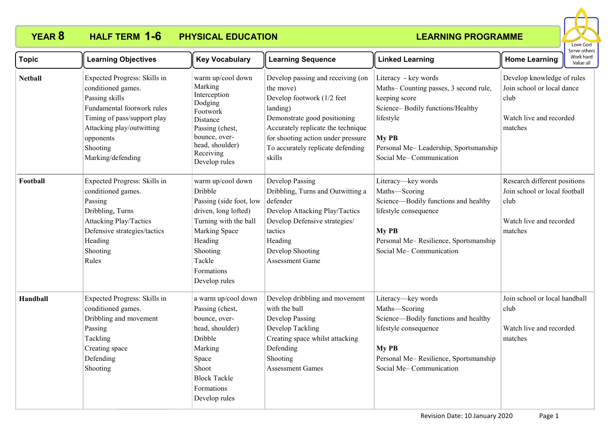

| <b>Topic</b>   | <b>Learning Objectives</b>                                                                                                                                                                                   | <b>Key Vocabulary</b>                                                                                                                                                                     | <b>Learning Sequence</b>                                                                                                                                                                                                                            | <b>Linked Learning</b>                                                                                                                                                                                       | <b>Home Learning</b>                                                                                        | Work hard<br>Value all |
|----------------|--------------------------------------------------------------------------------------------------------------------------------------------------------------------------------------------------------------|-------------------------------------------------------------------------------------------------------------------------------------------------------------------------------------------|-----------------------------------------------------------------------------------------------------------------------------------------------------------------------------------------------------------------------------------------------------|--------------------------------------------------------------------------------------------------------------------------------------------------------------------------------------------------------------|-------------------------------------------------------------------------------------------------------------|------------------------|
| <b>Netball</b> | Expected Progress: Skills in<br>conditioned games.<br>Passing skills<br>Fundamental footwork rules<br>Timing of pass/support play<br>Attacking play/outwitting<br>opponents<br>Shooting<br>Marking/defending | warm up/cool down<br>Marking<br>Interception<br>Dodging<br>Footwork<br>Distance<br>Passing (chest,<br>bounce, over-<br>head, shoulder)<br>Receiving<br>Develop rules                      | Develop passing and receiving (on<br>the move)<br>Develop footwork (1/2 feet<br>landing)<br>Demonstrate good positioning<br>Accurately replicate the technique<br>for shooting action under pressure<br>To accurately replicate defending<br>skills | Literacy - key words<br>Maths-Counting passes, 3 second rule,<br>keeping score<br>Science-Bodily functions/Healthy<br>lifestyle<br>My PB<br>Personal Me-Leadership, Sportsmanship<br>Social Me-Communication | Develop knowledge of rules<br>Join school or local dance<br>club<br>Watch live and recorded<br>matches      |                        |
| Football       | Expected Progress: Skills in<br>conditioned games.<br>Passing<br>Dribbling, Turns<br><b>Attacking Play/Tactics</b><br>Defensive strategies/tactics<br>Heading<br>Shooting<br>Rules                           | warm up/cool down<br>Dribble<br>Passing (side foot, low<br>driven, long lofted)<br>Turning with the ball<br>Marking Space<br>Heading<br>Shooting<br>Tackle<br>Formations<br>Develop rules | Develop Passing<br>Dribbling, Turns and Outwitting a<br>defender<br>Develop Attacking Play/Tactics<br>Develop Defensive strategies/<br>tactics<br>Heading<br>Develop Shooting<br><b>Assessment Game</b>                                             | Literacy-key words<br>Maths-Scoring<br>Science-Bodily functions and healthy<br>lifestyle consequence<br>My PB<br>Personal Me-Resilience, Sportsmanship<br>Social Me-Communication                            | Research different positions<br>Join school or local football<br>club<br>Watch live and recorded<br>matches |                        |
| Handball       | Expected Progress: Skills in<br>conditioned games.<br>Dribbling and movement<br>Passing<br>Tackling<br>Creating space<br>Defending<br>Shooting                                                               | a warm up/cool down<br>Passing (chest,<br>bounce, over-<br>head, shoulder)<br>Dribble<br>Marking<br>Space<br>Shoot<br><b>Block Tackle</b><br>Formations<br>Develop rules                  | Develop dribbling and movement<br>with the ball<br>Develop Passing<br>Develop Tackling<br>Creating space whilst attacking<br>Defending<br>Shooting<br><b>Assessment Games</b>                                                                       | Literacy-key words<br>Maths-Scoring<br>Science-Bodily functions and healthy<br>lifestyle consequence<br>My PB<br>Personal Me-Resilience, Sportsmanship<br>Social Me-Communication                            | Join school or local handball<br>club<br>Watch live and recorded<br>matches                                 |                        |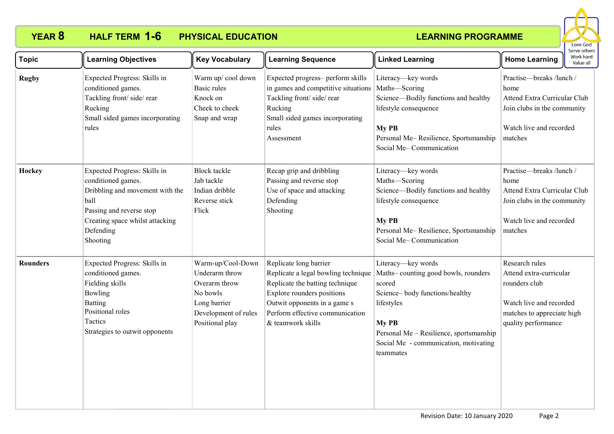

| <b>Topic</b>    | <b>Learning Objectives</b>                                                                                                                                                            | <b>Key Vocabulary</b>                                                                                                       | <b>Learning Sequence</b>                                                                                                                                                                                               | <b>Linked Learning</b>                                                                                                                                                                                                        | serve other:<br>Work hard<br><b>Home Learning</b><br>Value all                                                                             |
|-----------------|---------------------------------------------------------------------------------------------------------------------------------------------------------------------------------------|-----------------------------------------------------------------------------------------------------------------------------|------------------------------------------------------------------------------------------------------------------------------------------------------------------------------------------------------------------------|-------------------------------------------------------------------------------------------------------------------------------------------------------------------------------------------------------------------------------|--------------------------------------------------------------------------------------------------------------------------------------------|
| <b>Rugby</b>    | Expected Progress: Skills in<br>conditioned games.<br>Tackling front/side/rear<br>Rucking<br>Small sided games incorporating<br>rules                                                 | Warm up/cool down<br>Basic rules<br>Knock on<br>Cheek to cheek<br>Snap and wrap                                             | Expected progress- perform skills<br>in games and competitive situations<br>Tackling front/side/rear<br>Rucking<br>Small sided games incorporating<br>rules<br>Assessment                                              | Literacy-key words<br>Maths-Scoring<br>Science-Bodily functions and healthy<br>lifestyle consequence<br>My PB<br>Personal Me-Resilience, Sportsmanship<br>Social Me-Communication                                             | Practise-breaks /lunch /<br>home<br>Attend Extra Curricular Club<br>Join clubs in the community<br>Watch live and recorded<br>matches      |
| Hockey          | Expected Progress: Skills in<br>conditioned games.<br>Dribbling and movement with the<br>ball<br>Passing and reverse stop<br>Creating space whilst attacking<br>Defending<br>Shooting | <b>Block</b> tackle<br>Jab tackle<br>Indian dribble<br>Reverse stick<br>Flick                                               | Recap grip and dribbling<br>Passing and reverse stop<br>Use of space and attacking<br>Defending<br>Shooting                                                                                                            | Literacy-key words<br>Maths-Scoring<br>Science-Bodily functions and healthy<br>lifestyle consequence<br>My PB<br>Personal Me-Resilience, Sportsmanship<br>Social Me-Communication                                             | Practise-breaks /lunch /<br>home<br>Attend Extra Curricular Club<br>Join clubs in the community<br>Watch live and recorded<br>matches      |
| <b>Rounders</b> | Expected Progress: Skills in<br>conditioned games.<br>Fielding skills<br>Bowling<br><b>Batting</b><br>Positional roles<br>Tactics<br>Strategies to outwit opponents                   | Warm-up/Cool-Down<br>Underarm throw<br>Overarm throw<br>No bowls<br>Long barrier<br>Development of rules<br>Positional play | Replicate long barrier<br>Replicate a legal bowling technique<br>Replicate the batting technique<br>Explore rounders positions<br>Outwit opponents in a game s<br>Perform effective communication<br>& teamwork skills | Literacy-key words<br>Maths-counting good bowls, rounders<br>scored<br>Science-body functions/healthy<br>lifestyles<br>My PB<br>Personal Me - Resilience, sportsmanship<br>Social Me - communication, motivating<br>teammates | Research rules<br>Attend extra-curricular<br>rounders club<br>Watch live and recorded<br>matches to appreciate high<br>quality performance |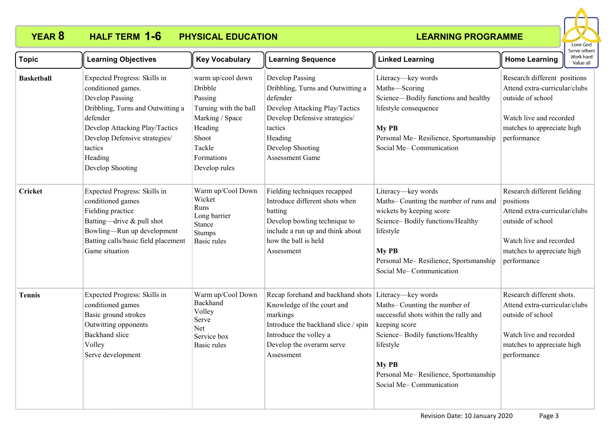

| <b>Topic</b>      | <b>Learning Objectives</b>                                                                                                                                                                                                          | <b>Key Vocabulary</b>                                                                                                                            | <b>Learning Sequence</b>                                                                                                                                                                                   | <b>Linked Learning</b>                                                                                                                                                                                                | <b>Home Learning</b>                                                                                                                                                   | Work hard<br>Value all |
|-------------------|-------------------------------------------------------------------------------------------------------------------------------------------------------------------------------------------------------------------------------------|--------------------------------------------------------------------------------------------------------------------------------------------------|------------------------------------------------------------------------------------------------------------------------------------------------------------------------------------------------------------|-----------------------------------------------------------------------------------------------------------------------------------------------------------------------------------------------------------------------|------------------------------------------------------------------------------------------------------------------------------------------------------------------------|------------------------|
| <b>Basketball</b> | Expected Progress: Skills in<br>conditioned games.<br>Develop Passing<br>Dribbling, Turns and Outwitting a<br>defender<br>Develop Attacking Play/Tactics<br>Develop Defensive strategies/<br>tactics<br>Heading<br>Develop Shooting | warm up/cool down<br>Dribble<br>Passing<br>Turning with the ball<br>Marking / Space<br>Heading<br>Shoot<br>Tackle<br>Formations<br>Develop rules | Develop Passing<br>Dribbling, Turns and Outwitting a<br>defender<br>Develop Attacking Play/Tactics<br>Develop Defensive strategies/<br>tactics<br>Heading<br>Develop Shooting<br><b>Assessment Game</b>    | Literacy-key words<br>Maths-Scoring<br>Science-Bodily functions and healthy<br>lifestyle consequence<br>My PB<br>Personal Me-Resilience, Sportsmanship<br>Social Me-Communication                                     | Research different positions<br>Attend extra-curricular/clubs<br>outside of school<br>Watch live and recorded<br>matches to appreciate high<br>performance             |                        |
| <b>Cricket</b>    | Expected Progress: Skills in<br>conditioned games<br>Fielding practice<br>Batting-drive & pull shot<br>Bowling-Run up development<br>Batting calls/basic field placement<br>Game situation                                          | Warm up/Cool Down<br>Wicket<br>Runs<br>Long barrier<br>Stance<br>Stumps<br>Basic rules                                                           | Fielding techniques recapped<br>Introduce different shots when<br>batting<br>Develop bowling technique to<br>include a run up and think about<br>how the ball is held<br>Assessment                        | Literacy-key words<br>Maths-Counting the number of runs and<br>wickets by keeping score<br>Science-Bodily functions/Healthy<br>lifestyle<br>My PB<br>Personal Me-Resilience, Sportsmanship<br>Social Me-Communication | Research different fielding<br>positions<br>Attend extra-curricular/clubs<br>outside of school<br>Watch live and recorded<br>matches to appreciate high<br>performance |                        |
| <b>Tennis</b>     | Expected Progress: Skills in<br>conditioned games<br>Basic ground strokes<br>Outwitting opponents<br>Backhand slice<br>Volley<br>Serve development                                                                                  | Warm up/Cool Down<br><b>Backhand</b><br>Volley<br>Serve<br>Net<br>Service box<br>Basic rules                                                     | Recap forehand and backhand shots Literacy—key words<br>Knowledge of the court and<br>markings<br>Introduce the backhand slice / spin<br>Introduce the volley a<br>Develop the overarm serve<br>Assessment | Maths-Counting the number of<br>successful shots within the rally and<br>keeping score<br>Science-Bodily functions/Healthy<br>lifestyle<br>My PB<br>Personal Me-Resilience, Sportsmanship<br>Social Me-Communication  | Research different shots.<br>Attend extra-curricular/clubs<br>outside of school<br>Watch live and recorded<br>matches to appreciate high<br>performance                |                        |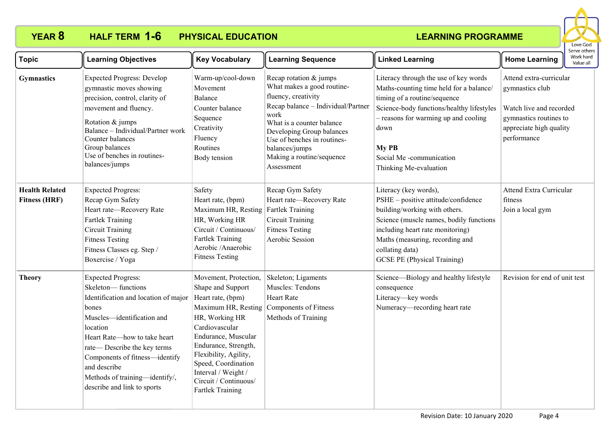

| <b>Topic</b>                                  | <b>Learning Objectives</b>                                                                                                                                                                                                                                                                                                   | <b>Key Vocabulary</b>                                                                                                                                                                                                                                                                                | <b>Learning Sequence</b>                                                                                                                                                                                                                                                        | <b>Linked Learning</b>                                                                                                                                                                                                                                                      | <b>Home Learning</b>                                                                                                                      | בו אב חוובו א<br>Work hard<br>Value all |
|-----------------------------------------------|------------------------------------------------------------------------------------------------------------------------------------------------------------------------------------------------------------------------------------------------------------------------------------------------------------------------------|------------------------------------------------------------------------------------------------------------------------------------------------------------------------------------------------------------------------------------------------------------------------------------------------------|---------------------------------------------------------------------------------------------------------------------------------------------------------------------------------------------------------------------------------------------------------------------------------|-----------------------------------------------------------------------------------------------------------------------------------------------------------------------------------------------------------------------------------------------------------------------------|-------------------------------------------------------------------------------------------------------------------------------------------|-----------------------------------------|
| <b>Gymnastics</b>                             | <b>Expected Progress: Develop</b><br>gymnastic moves showing<br>precision, control, clarity of<br>movement and fluency.<br>Rotation & jumps<br>Balance - Individual/Partner work<br>Counter balances<br>Group balances<br>Use of benches in routines-<br>balances/jumps                                                      | Warm-up/cool-down<br>Movement<br>Balance<br>Counter balance<br>Sequence<br>Creativity<br>Fluency<br>Routines<br>Body tension                                                                                                                                                                         | Recap rotation & jumps<br>What makes a good routine-<br>fluency, creativity<br>Recap balance - Individual/Partner<br>work<br>What is a counter balance<br>Developing Group balances<br>Use of benches in routines-<br>balances/jumps<br>Making a routine/sequence<br>Assessment | Literacy through the use of key words<br>Maths-counting time held for a balance/<br>timing of a routine/sequence<br>Science-body functions/healthy lifestyles<br>- reasons for warming up and cooling<br>down<br>My PB<br>Social Me-communication<br>Thinking Me-evaluation | Attend extra-curricular<br>gymnastics club<br>Watch live and recorded<br>gymnastics routines to<br>appreciate high quality<br>performance |                                         |
| <b>Health Related</b><br><b>Fitness (HRF)</b> | <b>Expected Progress:</b><br>Recap Gym Safety<br>Heart rate-Recovery Rate<br><b>Fartlek Training</b><br><b>Circuit Training</b><br><b>Fitness Testing</b><br>Fitness Classes eg. Step /<br>Boxercise / Yoga                                                                                                                  | Safety<br>Heart rate, (bpm)<br>Maximum HR, Resting<br>HR, Working HR<br>Circuit / Continuous/<br><b>Fartlek Training</b><br>Aerobic / Anaerobic<br><b>Fitness Testing</b>                                                                                                                            | Recap Gym Safety<br>Heart rate-Recovery Rate<br>Fartlek Training<br><b>Circuit Training</b><br><b>Fitness Testing</b><br>Aerobic Session                                                                                                                                        | Literacy (key words),<br>PSHE - positive attitude/confidence<br>building/working with others.<br>Science (muscle names, bodily functions<br>including heart rate monitoring)<br>Maths (measuring, recording and<br>collating data)<br><b>GCSE PE (Physical Training)</b>    | <b>Attend Extra Curricular</b><br>fitness<br>Join a local gym                                                                             |                                         |
| <b>Theory</b>                                 | <b>Expected Progress:</b><br>Skeleton-functions<br>Identification and location of major<br>bones<br>Muscles—identification and<br>location<br>Heart Rate-how to take heart<br>rate—Describe the key terms<br>Components of fitness-identify<br>and describe<br>Methods of training-identify/,<br>describe and link to sports | Movement, Protection,<br>Shape and Support<br>Heart rate, (bpm)<br>Maximum HR, Resting<br>HR, Working HR<br>Cardiovascular<br>Endurance, Muscular<br>Endurance, Strength,<br>Flexibility, Agility,<br>Speed, Coordination<br>Interval / Weight /<br>Circuit / Continuous/<br><b>Fartlek Training</b> | Skeleton; Ligaments<br>Muscles: Tendons<br><b>Heart Rate</b><br>Components of Fitness<br>Methods of Training                                                                                                                                                                    | Science-Biology and healthy lifestyle<br>consequence<br>Literacy-key words<br>Numeracy—recording heart rate                                                                                                                                                                 | Revision for end of unit test                                                                                                             |                                         |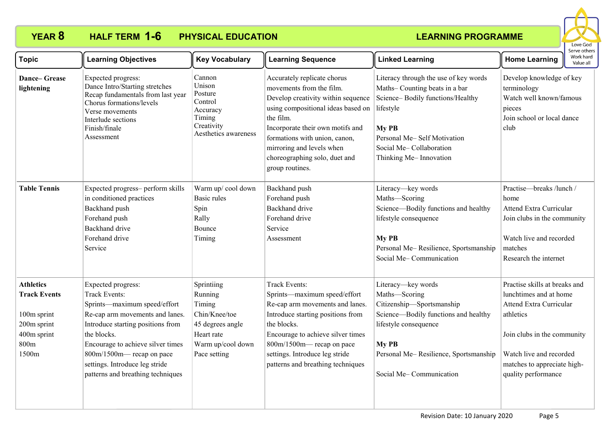

| <b>Topic</b>                                                                                          | <b>Learning Objectives</b>                                                                                                                                                                                                                                                                          | <b>Key Vocabulary</b>                                                                                                   | <b>Learning Sequence</b>                                                                                                                                                                                                                                                                               | <b>Linked Learning</b>                                                                                                                                                                                               | erve other:<br>Work hard<br><b>Home Learning</b><br>Value all                                                                                                                                                          |
|-------------------------------------------------------------------------------------------------------|-----------------------------------------------------------------------------------------------------------------------------------------------------------------------------------------------------------------------------------------------------------------------------------------------------|-------------------------------------------------------------------------------------------------------------------------|--------------------------------------------------------------------------------------------------------------------------------------------------------------------------------------------------------------------------------------------------------------------------------------------------------|----------------------------------------------------------------------------------------------------------------------------------------------------------------------------------------------------------------------|------------------------------------------------------------------------------------------------------------------------------------------------------------------------------------------------------------------------|
| <b>Dance-Grease</b><br>lightening                                                                     | Expected progress:<br>Dance Intro/Starting stretches<br>Recap fundamentals from last year<br>Chorus formations/levels<br>Verse movements<br>Interlude sections<br>Finish/finale<br>Assessment                                                                                                       | Cannon<br>Unison<br>Posture<br>Control<br>Accuracy<br>Timing<br>Creativity<br>Aesthetics awareness                      | Accurately replicate chorus<br>movements from the film.<br>Develop creativity within sequence<br>using compositional ideas based on<br>the film.<br>Incorporate their own motifs and<br>formations with union, canon,<br>mirroring and levels when<br>choreographing solo, duet and<br>group routines. | Literacy through the use of key words<br>Maths-Counting beats in a bar<br>Science-Bodily functions/Healthy<br>lifestyle<br>My PB<br>Personal Me-Self Motivation<br>Social Me-Collaboration<br>Thinking Me-Innovation | Develop knowledge of key<br>terminology<br>Watch well known/famous<br>pieces<br>Join school or local dance<br>club                                                                                                     |
| <b>Table Tennis</b>                                                                                   | Expected progress- perform skills<br>in conditioned practices<br>Backhand push<br>Forehand push<br><b>Backhand</b> drive<br>Forehand drive<br>Service                                                                                                                                               | Warm up/cool down<br><b>Basic rules</b><br>Spin<br>Rally<br><b>Bounce</b><br>Timing                                     | Backhand push<br>Forehand push<br><b>Backhand</b> drive<br>Forehand drive<br>Service<br>Assessment                                                                                                                                                                                                     | Literacy-key words<br>Maths-Scoring<br>Science-Bodily functions and healthy<br>lifestyle consequence<br>My PB<br>Personal Me-Resilience, Sportsmanship<br>Social Me-Communication                                    | Practise-breaks /lunch /<br>home<br><b>Attend Extra Curricular</b><br>Join clubs in the community<br>Watch live and recorded<br>matches<br>Research the internet                                                       |
| <b>Athletics</b><br><b>Track Events</b><br>100m sprint<br>200m sprint<br>400m sprint<br>800m<br>1500m | Expected progress:<br>Track Events:<br>Sprints-maximum speed/effort<br>Re-cap arm movements and lanes.<br>Introduce starting positions from<br>the blocks.<br>Encourage to achieve silver times<br>800m/1500m— recap on pace<br>settings. Introduce leg stride<br>patterns and breathing techniques | Sprintiing<br>Running<br>Timing<br>Chin/Knee/toe<br>45 degrees angle<br>Heart rate<br>Warm up/cool down<br>Pace setting | <b>Track Events:</b><br>Sprints-maximum speed/effort<br>Re-cap arm movements and lanes.<br>Introduce starting positions from<br>the blocks.<br>Encourage to achieve silver times<br>800m/1500m— recap on pace<br>settings. Introduce leg stride<br>patterns and breathing techniques                   | Literacy-key words<br>Maths-Scoring<br>Citizenship-Sportsmanship<br>Science—Bodily functions and healthy<br>lifestyle consequence<br>My PB<br>Personal Me-Resilience, Sportsmanship<br>Social Me-Communication       | Practise skills at breaks and<br>lunchtimes and at home<br><b>Attend Extra Curricular</b><br>athletics<br>Join clubs in the community<br>Watch live and recorded<br>matches to appreciate high-<br>quality performance |